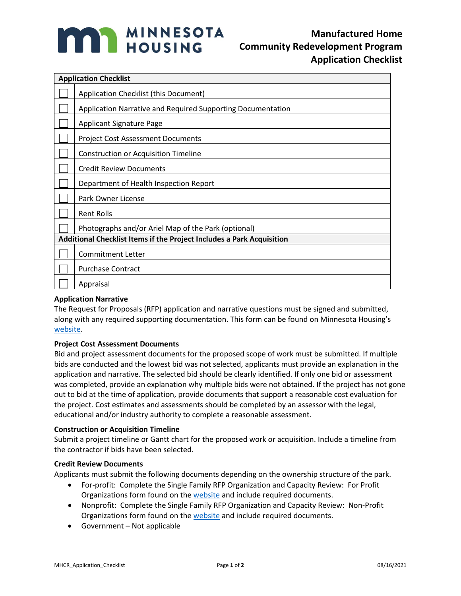

| <b>Application Checklist</b>                                          |                                                             |
|-----------------------------------------------------------------------|-------------------------------------------------------------|
|                                                                       | Application Checklist (this Document)                       |
|                                                                       | Application Narrative and Required Supporting Documentation |
|                                                                       | <b>Applicant Signature Page</b>                             |
|                                                                       | <b>Project Cost Assessment Documents</b>                    |
|                                                                       | <b>Construction or Acquisition Timeline</b>                 |
|                                                                       | <b>Credit Review Documents</b>                              |
|                                                                       | Department of Health Inspection Report                      |
|                                                                       | Park Owner License                                          |
|                                                                       | <b>Rent Rolls</b>                                           |
|                                                                       | Photographs and/or Ariel Map of the Park (optional)         |
| Additional Checklist Items if the Project Includes a Park Acquisition |                                                             |
|                                                                       | <b>Commitment Letter</b>                                    |
|                                                                       | <b>Purchase Contract</b>                                    |
|                                                                       | Appraisal                                                   |

### **Application Narrative**

The Request for Proposals (RFP) application and narrative questions must be signed and submitted, along with any required supporting documentation. This form can be found on Minnesota Housing's [website.](http://www.mnhousing.gov/sites/lenders/ManufacturedHousing)

### **Project Cost Assessment Documents**

Bid and project assessment documents for the proposed scope of work must be submitted. If multiple bids are conducted and the lowest bid was not selected, applicants must provide an explanation in the application and narrative. The selected bid should be clearly identified. If only one bid or assessment was completed, provide an explanation why multiple bids were not obtained. If the project has not gone out to bid at the time of application, provide documents that support a reasonable cost evaluation for the project. Cost estimates and assessments should be completed by an assessor with the legal, educational and/or industry authority to complete a reasonable assessment.

### **Construction or Acquisition Timeline**

Submit a project timeline or Gantt chart for the proposed work or acquisition. Include a timeline from the contractor if bids have been selected.

### **Credit Review Documents**

Applicants must submit the following documents depending on the ownership structure of the park.

- For-profit: Complete the Single Family RFP Organization and Capacity Review: For Profit Organizations form found on the [website](http://www.mnhousing.gov/sites/lenders/ManufacturedHousing) and include required documents.
- Nonprofit: Complete the Single Family RFP Organization and Capacity Review: Non-Profit Organizations form found on the [website](http://www.mnhousing.gov/sites/lenders/ManufacturedHousing) and include required documents.
- Government Not applicable